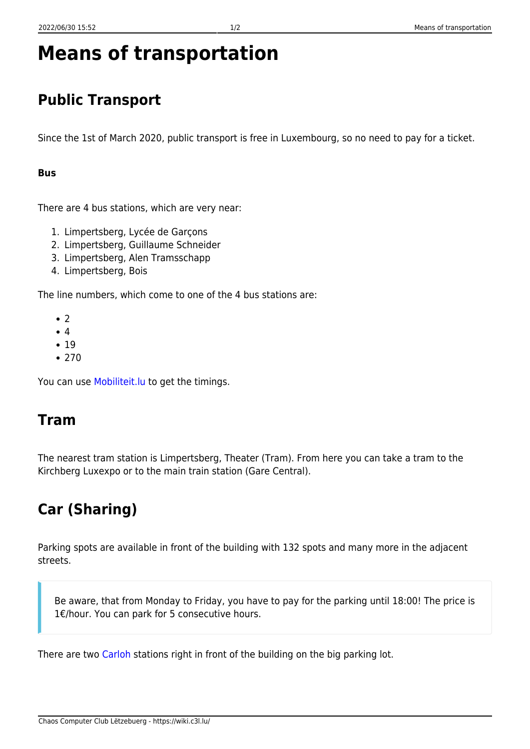# **Means of transportation**

## **Public Transport**

Since the 1st of March 2020, public transport is free in Luxembourg, so no need to pay for a ticket.

#### **Bus**

There are 4 bus stations, which are very near:

- 1. Limpertsberg, Lycée de Garçons
- 2. Limpertsberg, Guillaume Schneider
- 3. Limpertsberg, Alen Tramsschapp
- 4. Limpertsberg, Bois

The line numbers, which come to one of the 4 bus stations are:

- $\bullet$  2
- 4
- $19$
- $•770$

You can use [Mobiliteit.lu](https://travelplanner.mobiliteit.lu/hafas/query.exe/en) to get the timings.

#### **Tram**

The nearest tram station is Limpertsberg, Theater (Tram). From here you can take a tram to the Kirchberg Luxexpo or to the main train station (Gare Central).

## **Car (Sharing)**

Parking spots are available in front of the building with 132 spots and many more in the adjacent streets.

Be aware, that from Monday to Friday, you have to pay for the parking until 18:00! The price is 1€/hour. You can park for 5 consecutive hours.

There are two [Carloh](https://www.carloh.lu/en/) stations right in front of the building on the big parking lot.